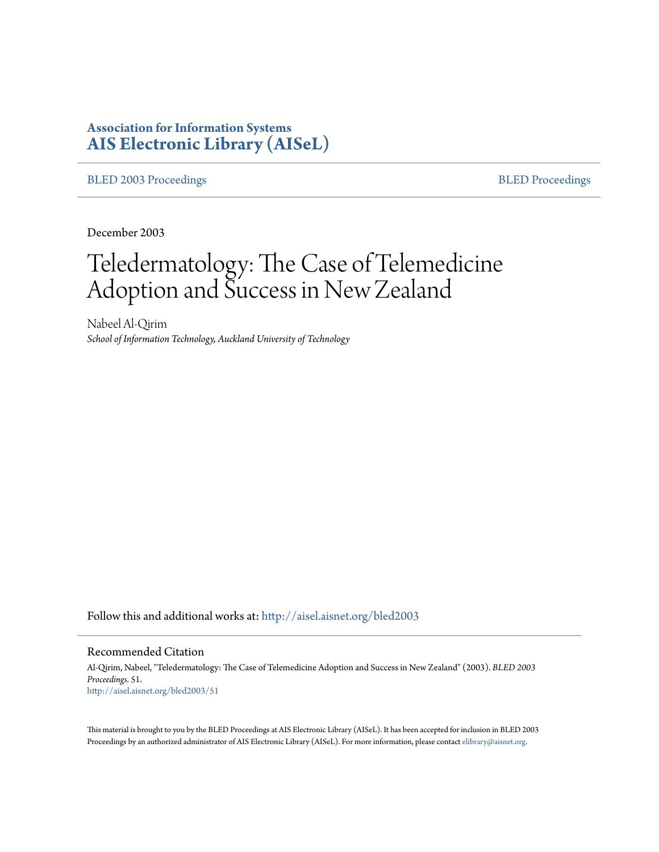# **Association for Information Systems [AIS Electronic Library \(AISeL\)](http://aisel.aisnet.org?utm_source=aisel.aisnet.org%2Fbled2003%2F51&utm_medium=PDF&utm_campaign=PDFCoverPages)**

[BLED 2003 Proceedings](http://aisel.aisnet.org/bled2003?utm_source=aisel.aisnet.org%2Fbled2003%2F51&utm_medium=PDF&utm_campaign=PDFCoverPages) **[BLED Proceedings](http://aisel.aisnet.org/bled?utm_source=aisel.aisnet.org%2Fbled2003%2F51&utm_medium=PDF&utm_campaign=PDFCoverPages)** 

December 2003

# Teledermatology: The Case of Telemedicine Adoption and Success in New Zealand

Nabeel Al-Qirim *School of Information Technology, Auckland University of Technology*

Follow this and additional works at: [http://aisel.aisnet.org/bled2003](http://aisel.aisnet.org/bled2003?utm_source=aisel.aisnet.org%2Fbled2003%2F51&utm_medium=PDF&utm_campaign=PDFCoverPages)

#### Recommended Citation

Al-Qirim, Nabeel, "Teledermatology: The Case of Telemedicine Adoption and Success in New Zealand" (2003). *BLED 2003 Proceedings*. 51. [http://aisel.aisnet.org/bled2003/51](http://aisel.aisnet.org/bled2003/51?utm_source=aisel.aisnet.org%2Fbled2003%2F51&utm_medium=PDF&utm_campaign=PDFCoverPages)

This material is brought to you by the BLED Proceedings at AIS Electronic Library (AISeL). It has been accepted for inclusion in BLED 2003 Proceedings by an authorized administrator of AIS Electronic Library (AISeL). For more information, please contact [elibrary@aisnet.org](mailto:elibrary@aisnet.org%3E).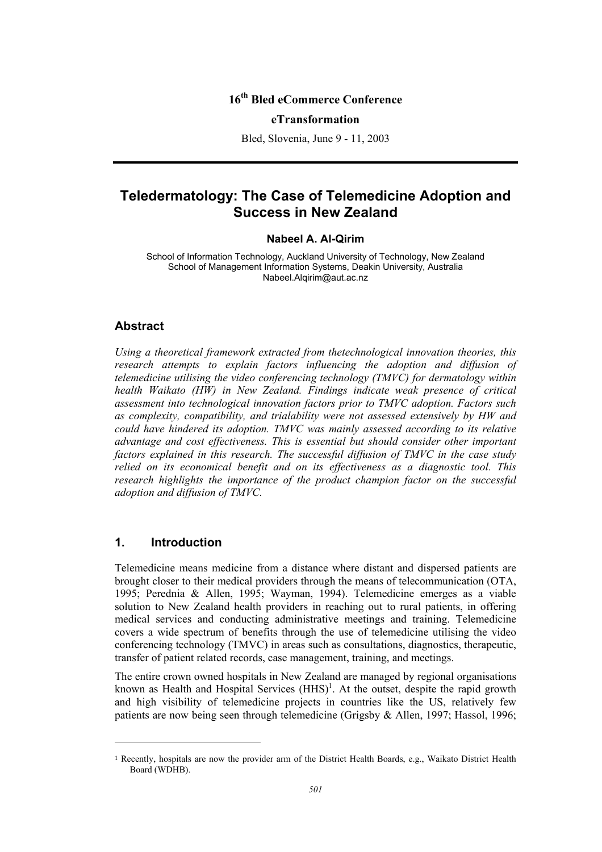## **16th Bled eCommerce Conference**

#### **eTransformation**

Bled, Slovenia, June 9 - 11, 2003

## **Teledermatology: The Case of Telemedicine Adoption and Success in New Zealand**

#### **Nabeel A. Al-Qirim**

School of Information Technology, Auckland University of Technology, New Zealand School of Management Information Systems, Deakin University, Australia Nabeel.Alqirim@aut.ac.nz

#### **Abstract**

*Using a theoretical framework extracted from thetechnological innovation theories, this*  research attempts to explain factors influencing the adoption and diffusion of *telemedicine utilising the video conferencing technology (TMVC) for dermatology within health Waikato (HW) in New Zealand. Findings indicate weak presence of critical assessment into technological innovation factors prior to TMVC adoption. Factors such as complexity, compatibility, and trialability were not assessed extensively by HW and could have hindered its adoption. TMVC was mainly assessed according to its relative advantage and cost effectiveness. This is essential but should consider other important factors explained in this research. The successful diffusion of TMVC in the case study relied on its economical benefit and on its effectiveness as a diagnostic tool. This research highlights the importance of the product champion factor on the successful adoption and diffusion of TMVC.* 

## **1. Introduction**

l

Telemedicine means medicine from a distance where distant and dispersed patients are brought closer to their medical providers through the means of telecommunication (OTA, 1995; Perednia & Allen, 1995; Wayman, 1994). Telemedicine emerges as a viable solution to New Zealand health providers in reaching out to rural patients, in offering medical services and conducting administrative meetings and training. Telemedicine covers a wide spectrum of benefits through the use of telemedicine utilising the video conferencing technology (TMVC) in areas such as consultations, diagnostics, therapeutic, transfer of patient related records, case management, training, and meetings.

The entire crown owned hospitals in New Zealand are managed by regional organisations known as Health and Hospital Services  $(HHS)^1$ . At the outset, despite the rapid growth and high visibility of telemedicine projects in countries like the US, relatively few patients are now being seen through telemedicine (Grigsby & Allen, 1997; Hassol, 1996;

<sup>1</sup> Recently, hospitals are now the provider arm of the District Health Boards, e.g., Waikato District Health Board (WDHB).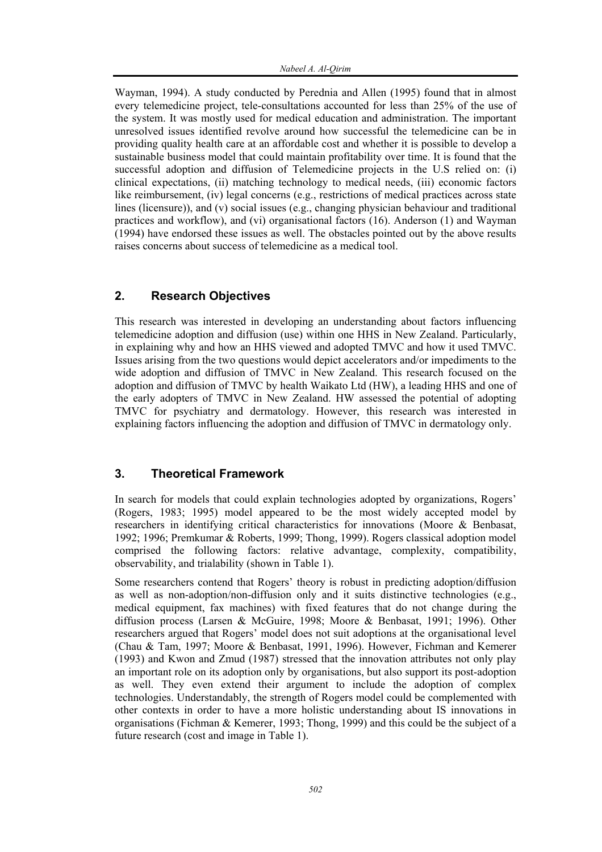Wayman, 1994). A study conducted by Perednia and Allen (1995) found that in almost every telemedicine project, tele-consultations accounted for less than 25% of the use of the system. It was mostly used for medical education and administration. The important unresolved issues identified revolve around how successful the telemedicine can be in providing quality health care at an affordable cost and whether it is possible to develop a sustainable business model that could maintain profitability over time. It is found that the successful adoption and diffusion of Telemedicine projects in the U.S relied on: (i) clinical expectations, (ii) matching technology to medical needs, (iii) economic factors like reimbursement, (iv) legal concerns (e.g., restrictions of medical practices across state lines (licensure)), and (v) social issues (e.g., changing physician behaviour and traditional practices and workflow), and (vi) organisational factors (16). Anderson (1) and Wayman (1994) have endorsed these issues as well. The obstacles pointed out by the above results raises concerns about success of telemedicine as a medical tool.

## **2. Research Objectives**

This research was interested in developing an understanding about factors influencing telemedicine adoption and diffusion (use) within one HHS in New Zealand. Particularly, in explaining why and how an HHS viewed and adopted TMVC and how it used TMVC. Issues arising from the two questions would depict accelerators and/or impediments to the wide adoption and diffusion of TMVC in New Zealand. This research focused on the adoption and diffusion of TMVC by health Waikato Ltd (HW), a leading HHS and one of the early adopters of TMVC in New Zealand. HW assessed the potential of adopting TMVC for psychiatry and dermatology. However, this research was interested in explaining factors influencing the adoption and diffusion of TMVC in dermatology only.

## **3. Theoretical Framework**

In search for models that could explain technologies adopted by organizations, Rogers' (Rogers, 1983; 1995) model appeared to be the most widely accepted model by researchers in identifying critical characteristics for innovations (Moore & Benbasat, 1992; 1996; Premkumar & Roberts, 1999; Thong, 1999). Rogers classical adoption model comprised the following factors: relative advantage, complexity, compatibility, observability, and trialability (shown in Table 1).

Some researchers contend that Rogers' theory is robust in predicting adoption/diffusion as well as non-adoption/non-diffusion only and it suits distinctive technologies (e.g., medical equipment, fax machines) with fixed features that do not change during the diffusion process (Larsen & McGuire, 1998; Moore & Benbasat, 1991; 1996). Other researchers argued that Rogers' model does not suit adoptions at the organisational level (Chau & Tam, 1997; Moore & Benbasat, 1991, 1996). However, Fichman and Kemerer (1993) and Kwon and Zmud (1987) stressed that the innovation attributes not only play an important role on its adoption only by organisations, but also support its post-adoption as well. They even extend their argument to include the adoption of complex technologies. Understandably, the strength of Rogers model could be complemented with other contexts in order to have a more holistic understanding about IS innovations in organisations (Fichman & Kemerer, 1993; Thong, 1999) and this could be the subject of a future research (cost and image in Table 1).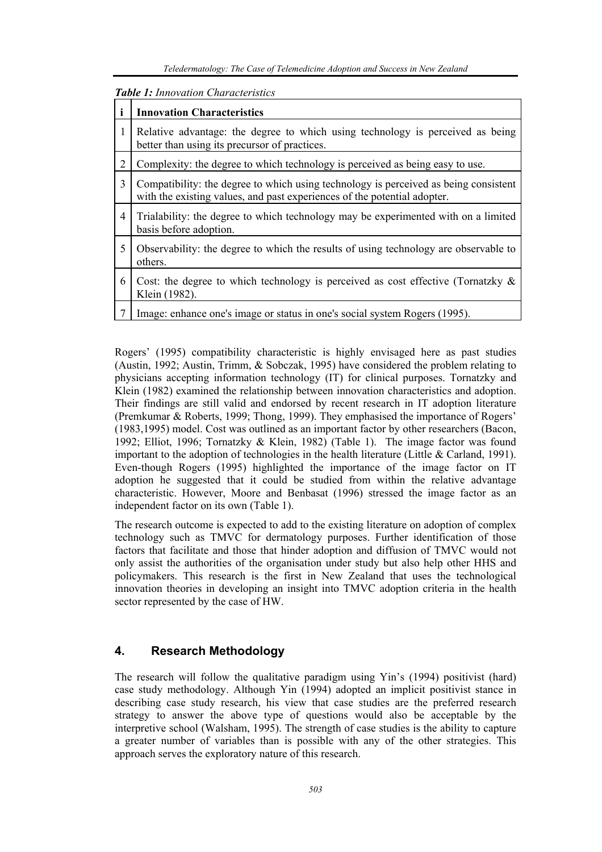| <b>Table 1:</b> Innovation Characteristics |                                                                                                                                                                  |
|--------------------------------------------|------------------------------------------------------------------------------------------------------------------------------------------------------------------|
|                                            | <b>Innovation Characteristics</b>                                                                                                                                |
| 1                                          | Relative advantage: the degree to which using technology is perceived as being<br>better than using its precursor of practices.                                  |
| $\overline{2}$                             | Complexity: the degree to which technology is perceived as being easy to use.                                                                                    |
| 3                                          | Compatibility: the degree to which using technology is perceived as being consistent<br>with the existing values, and past experiences of the potential adopter. |
| $\overline{4}$                             | Trialability: the degree to which technology may be experimented with on a limited<br>basis before adoption.                                                     |
| 5                                          | Observability: the degree to which the results of using technology are observable to<br>others.                                                                  |
| 6                                          | Cost: the degree to which technology is perceived as cost effective (Tornatzky $\&$<br>Klein (1982).                                                             |
|                                            | Image: enhance one's image or status in one's social system Rogers (1995).                                                                                       |

Rogers' (1995) compatibility characteristic is highly envisaged here as past studies (Austin, 1992; Austin, Trimm, & Sobczak, 1995) have considered the problem relating to physicians accepting information technology (IT) for clinical purposes. Tornatzky and Klein (1982) examined the relationship between innovation characteristics and adoption. Their findings are still valid and endorsed by recent research in IT adoption literature (Premkumar & Roberts, 1999; Thong, 1999). They emphasised the importance of Rogers' (1983,1995) model. Cost was outlined as an important factor by other researchers (Bacon, 1992; Elliot, 1996; Tornatzky & Klein, 1982) (Table 1). The image factor was found important to the adoption of technologies in the health literature (Little & Carland, 1991). Even-though Rogers (1995) highlighted the importance of the image factor on IT adoption he suggested that it could be studied from within the relative advantage characteristic. However, Moore and Benbasat (1996) stressed the image factor as an independent factor on its own (Table 1).

The research outcome is expected to add to the existing literature on adoption of complex technology such as TMVC for dermatology purposes. Further identification of those factors that facilitate and those that hinder adoption and diffusion of TMVC would not only assist the authorities of the organisation under study but also help other HHS and policymakers. This research is the first in New Zealand that uses the technological innovation theories in developing an insight into TMVC adoption criteria in the health sector represented by the case of HW.

## **4. Research Methodology**

The research will follow the qualitative paradigm using Yin's (1994) positivist (hard) case study methodology. Although Yin (1994) adopted an implicit positivist stance in describing case study research, his view that case studies are the preferred research strategy to answer the above type of questions would also be acceptable by the interpretive school (Walsham, 1995). The strength of case studies is the ability to capture a greater number of variables than is possible with any of the other strategies. This approach serves the exploratory nature of this research.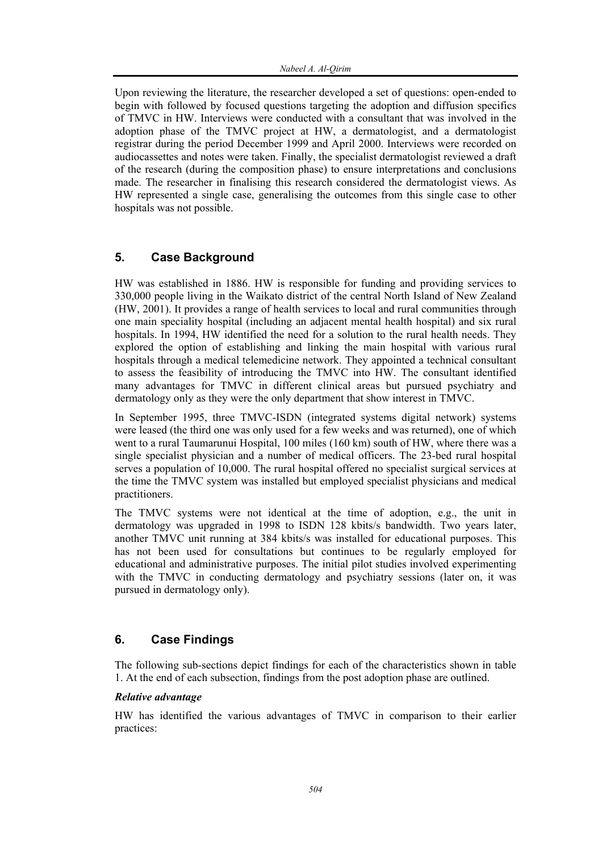Upon reviewing the literature, the researcher developed a set of questions: open-ended to begin with followed by focused questions targeting the adoption and diffusion specifics of TMVC in HW. Interviews were conducted with a consultant that was involved in the adoption phase of the TMVC project at HW, a dermatologist, and a dermatologist registrar during the period December 1999 and April 2000. Interviews were recorded on audiocassettes and notes were taken. Finally, the specialist dermatologist reviewed a draft of the research (during the composition phase) to ensure interpretations and conclusions made. The researcher in finalising this research considered the dermatologist views. As HW represented a single case, generalising the outcomes from this single case to other hospitals was not possible.

## **5. Case Background**

HW was established in 1886. HW is responsible for funding and providing services to 330,000 people living in the Waikato district of the central North Island of New Zealand (HW, 2001). It provides a range of health services to local and rural communities through one main speciality hospital (including an adjacent mental health hospital) and six rural hospitals. In 1994, HW identified the need for a solution to the rural health needs. They explored the option of establishing and linking the main hospital with various rural hospitals through a medical telemedicine network. They appointed a technical consultant to assess the feasibility of introducing the TMVC into HW. The consultant identified many advantages for TMVC in different clinical areas but pursued psychiatry and dermatology only as they were the only department that show interest in TMVC.

In September 1995, three TMVC-ISDN (integrated systems digital network) systems were leased (the third one was only used for a few weeks and was returned), one of which went to a rural Taumarunui Hospital, 100 miles (160 km) south of HW, where there was a single specialist physician and a number of medical officers. The 23-bed rural hospital serves a population of 10,000. The rural hospital offered no specialist surgical services at the time the TMVC system was installed but employed specialist physicians and medical practitioners.

The TMVC systems were not identical at the time of adoption, e.g., the unit in dermatology was upgraded in 1998 to ISDN 128 kbits/s bandwidth. Two years later, another TMVC unit running at 384 kbits/s was installed for educational purposes. This has not been used for consultations but continues to be regularly employed for educational and administrative purposes. The initial pilot studies involved experimenting with the TMVC in conducting dermatology and psychiatry sessions (later on, it was pursued in dermatology only).

## **6. Case Findings**

The following sub-sections depict findings for each of the characteristics shown in table 1. At the end of each subsection, findings from the post adoption phase are outlined.

### *Relative advantage*

HW has identified the various advantages of TMVC in comparison to their earlier practices: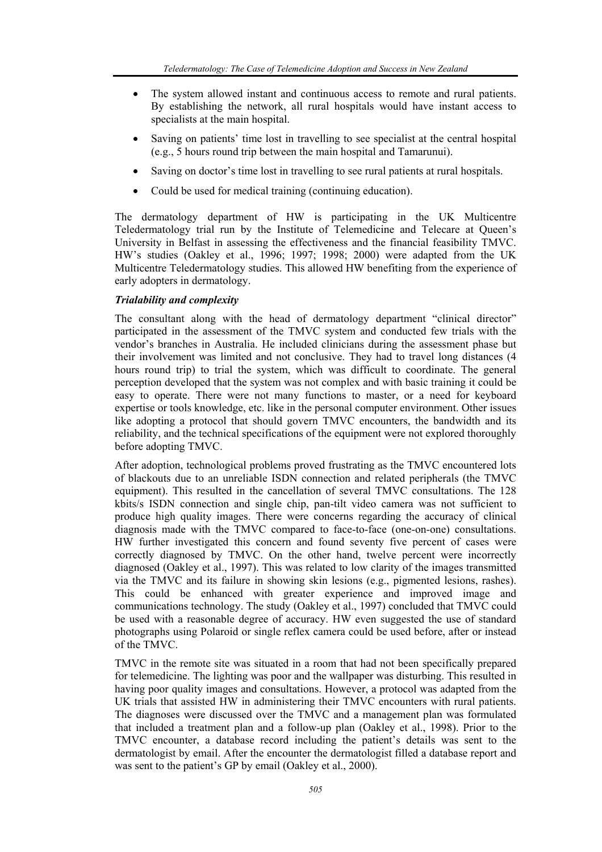- The system allowed instant and continuous access to remote and rural patients. By establishing the network, all rural hospitals would have instant access to specialists at the main hospital.
- Saving on patients' time lost in travelling to see specialist at the central hospital (e.g., 5 hours round trip between the main hospital and Tamarunui).
- Saving on doctor's time lost in travelling to see rural patients at rural hospitals.
- Could be used for medical training (continuing education).

The dermatology department of HW is participating in the UK Multicentre Teledermatology trial run by the Institute of Telemedicine and Telecare at Queen's University in Belfast in assessing the effectiveness and the financial feasibility TMVC. HW's studies (Oakley et al., 1996; 1997; 1998; 2000) were adapted from the UK Multicentre Teledermatology studies. This allowed HW benefiting from the experience of early adopters in dermatology.

## *Trialability and complexity*

The consultant along with the head of dermatology department "clinical director" participated in the assessment of the TMVC system and conducted few trials with the vendor's branches in Australia. He included clinicians during the assessment phase but their involvement was limited and not conclusive. They had to travel long distances (4 hours round trip) to trial the system, which was difficult to coordinate. The general perception developed that the system was not complex and with basic training it could be easy to operate. There were not many functions to master, or a need for keyboard expertise or tools knowledge, etc. like in the personal computer environment. Other issues like adopting a protocol that should govern TMVC encounters, the bandwidth and its reliability, and the technical specifications of the equipment were not explored thoroughly before adopting TMVC.

After adoption, technological problems proved frustrating as the TMVC encountered lots of blackouts due to an unreliable ISDN connection and related peripherals (the TMVC equipment). This resulted in the cancellation of several TMVC consultations. The 128 kbits/s ISDN connection and single chip, pan-tilt video camera was not sufficient to produce high quality images. There were concerns regarding the accuracy of clinical diagnosis made with the TMVC compared to face-to-face (one-on-one) consultations. HW further investigated this concern and found seventy five percent of cases were correctly diagnosed by TMVC. On the other hand, twelve percent were incorrectly diagnosed (Oakley et al., 1997). This was related to low clarity of the images transmitted via the TMVC and its failure in showing skin lesions (e.g., pigmented lesions, rashes). This could be enhanced with greater experience and improved image and communications technology. The study (Oakley et al., 1997) concluded that TMVC could be used with a reasonable degree of accuracy. HW even suggested the use of standard photographs using Polaroid or single reflex camera could be used before, after or instead of the TMVC.

TMVC in the remote site was situated in a room that had not been specifically prepared for telemedicine. The lighting was poor and the wallpaper was disturbing. This resulted in having poor quality images and consultations. However, a protocol was adapted from the UK trials that assisted HW in administering their TMVC encounters with rural patients. The diagnoses were discussed over the TMVC and a management plan was formulated that included a treatment plan and a follow-up plan (Oakley et al., 1998). Prior to the TMVC encounter, a database record including the patient's details was sent to the dermatologist by email. After the encounter the dermatologist filled a database report and was sent to the patient's GP by email (Oakley et al., 2000).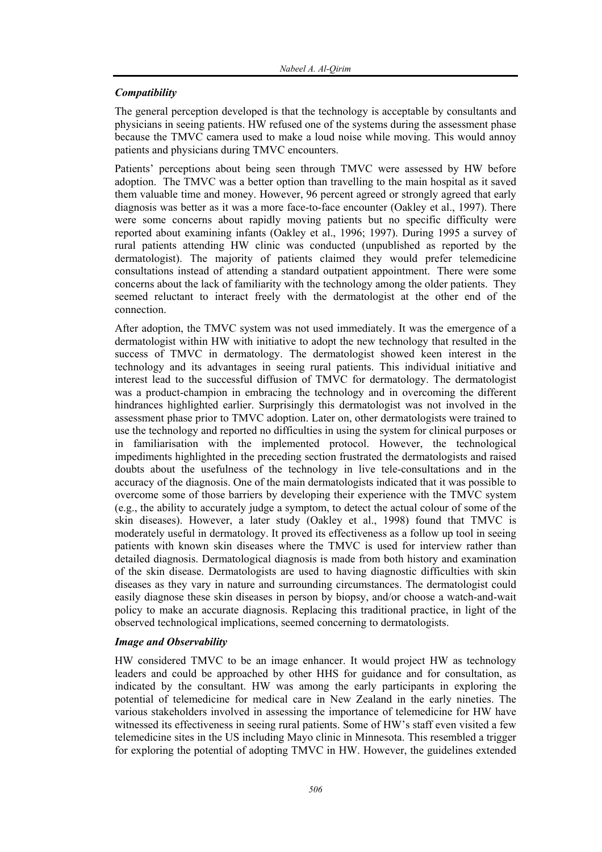## *Compatibility*

The general perception developed is that the technology is acceptable by consultants and physicians in seeing patients. HW refused one of the systems during the assessment phase because the TMVC camera used to make a loud noise while moving. This would annoy patients and physicians during TMVC encounters.

Patients' perceptions about being seen through TMVC were assessed by HW before adoption. The TMVC was a better option than travelling to the main hospital as it saved them valuable time and money. However, 96 percent agreed or strongly agreed that early diagnosis was better as it was a more face-to-face encounter (Oakley et al., 1997). There were some concerns about rapidly moving patients but no specific difficulty were reported about examining infants (Oakley et al., 1996; 1997). During 1995 a survey of rural patients attending HW clinic was conducted (unpublished as reported by the dermatologist). The majority of patients claimed they would prefer telemedicine consultations instead of attending a standard outpatient appointment. There were some concerns about the lack of familiarity with the technology among the older patients. They seemed reluctant to interact freely with the dermatologist at the other end of the connection.

After adoption, the TMVC system was not used immediately. It was the emergence of a dermatologist within HW with initiative to adopt the new technology that resulted in the success of TMVC in dermatology. The dermatologist showed keen interest in the technology and its advantages in seeing rural patients. This individual initiative and interest lead to the successful diffusion of TMVC for dermatology. The dermatologist was a product-champion in embracing the technology and in overcoming the different hindrances highlighted earlier. Surprisingly this dermatologist was not involved in the assessment phase prior to TMVC adoption. Later on, other dermatologists were trained to use the technology and reported no difficulties in using the system for clinical purposes or in familiarisation with the implemented protocol. However, the technological impediments highlighted in the preceding section frustrated the dermatologists and raised doubts about the usefulness of the technology in live tele-consultations and in the accuracy of the diagnosis. One of the main dermatologists indicated that it was possible to overcome some of those barriers by developing their experience with the TMVC system (e.g., the ability to accurately judge a symptom, to detect the actual colour of some of the skin diseases). However, a later study (Oakley et al., 1998) found that TMVC is moderately useful in dermatology. It proved its effectiveness as a follow up tool in seeing patients with known skin diseases where the TMVC is used for interview rather than detailed diagnosis. Dermatological diagnosis is made from both history and examination of the skin disease. Dermatologists are used to having diagnostic difficulties with skin diseases as they vary in nature and surrounding circumstances. The dermatologist could easily diagnose these skin diseases in person by biopsy, and/or choose a watch-and-wait policy to make an accurate diagnosis. Replacing this traditional practice, in light of the observed technological implications, seemed concerning to dermatologists.

### *Image and Observability*

HW considered TMVC to be an image enhancer. It would project HW as technology leaders and could be approached by other HHS for guidance and for consultation, as indicated by the consultant. HW was among the early participants in exploring the potential of telemedicine for medical care in New Zealand in the early nineties. The various stakeholders involved in assessing the importance of telemedicine for HW have witnessed its effectiveness in seeing rural patients. Some of HW's staff even visited a few telemedicine sites in the US including Mayo clinic in Minnesota. This resembled a trigger for exploring the potential of adopting TMVC in HW. However, the guidelines extended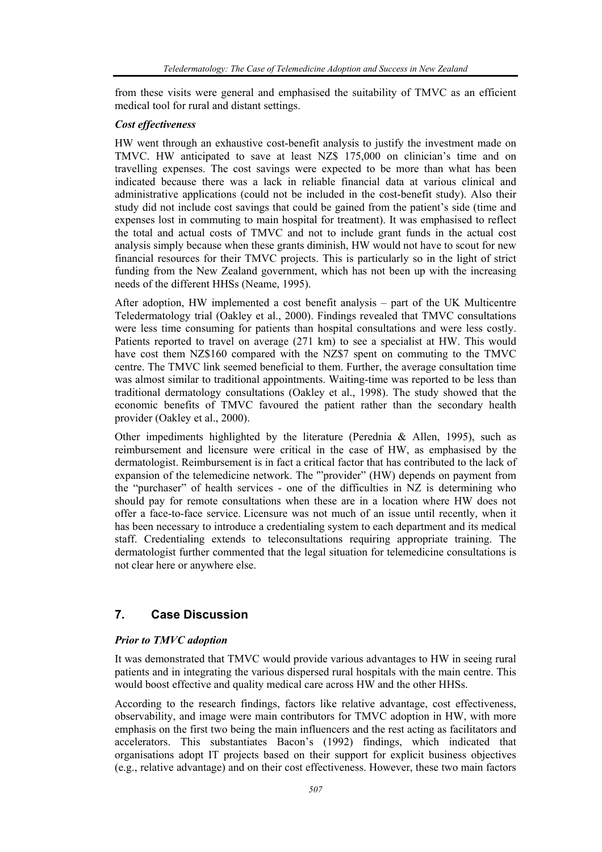from these visits were general and emphasised the suitability of TMVC as an efficient medical tool for rural and distant settings.

#### *Cost effectiveness*

HW went through an exhaustive cost-benefit analysis to justify the investment made on TMVC. HW anticipated to save at least NZ\$ 175,000 on clinician's time and on travelling expenses. The cost savings were expected to be more than what has been indicated because there was a lack in reliable financial data at various clinical and administrative applications (could not be included in the cost-benefit study). Also their study did not include cost savings that could be gained from the patient's side (time and expenses lost in commuting to main hospital for treatment). It was emphasised to reflect the total and actual costs of TMVC and not to include grant funds in the actual cost analysis simply because when these grants diminish, HW would not have to scout for new financial resources for their TMVC projects. This is particularly so in the light of strict funding from the New Zealand government, which has not been up with the increasing needs of the different HHSs (Neame, 1995).

After adoption, HW implemented a cost benefit analysis – part of the UK Multicentre Teledermatology trial (Oakley et al., 2000). Findings revealed that TMVC consultations were less time consuming for patients than hospital consultations and were less costly. Patients reported to travel on average (271 km) to see a specialist at HW. This would have cost them NZ\$160 compared with the NZ\$7 spent on commuting to the TMVC centre. The TMVC link seemed beneficial to them. Further, the average consultation time was almost similar to traditional appointments. Waiting-time was reported to be less than traditional dermatology consultations (Oakley et al., 1998). The study showed that the economic benefits of TMVC favoured the patient rather than the secondary health provider (Oakley et al., 2000).

Other impediments highlighted by the literature (Perednia & Allen, 1995), such as reimbursement and licensure were critical in the case of HW, as emphasised by the dermatologist. Reimbursement is in fact a critical factor that has contributed to the lack of expansion of the telemedicine network. The '"provider" (HW) depends on payment from the "purchaser" of health services - one of the difficulties in NZ is determining who should pay for remote consultations when these are in a location where HW does not offer a face-to-face service. Licensure was not much of an issue until recently, when it has been necessary to introduce a credentialing system to each department and its medical staff. Credentialing extends to teleconsultations requiring appropriate training. The dermatologist further commented that the legal situation for telemedicine consultations is not clear here or anywhere else.

## **7. Case Discussion**

### *Prior to TMVC adoption*

It was demonstrated that TMVC would provide various advantages to HW in seeing rural patients and in integrating the various dispersed rural hospitals with the main centre. This would boost effective and quality medical care across HW and the other HHSs.

According to the research findings, factors like relative advantage, cost effectiveness, observability, and image were main contributors for TMVC adoption in HW, with more emphasis on the first two being the main influencers and the rest acting as facilitators and accelerators. This substantiates Bacon's (1992) findings, which indicated that organisations adopt IT projects based on their support for explicit business objectives (e.g., relative advantage) and on their cost effectiveness. However, these two main factors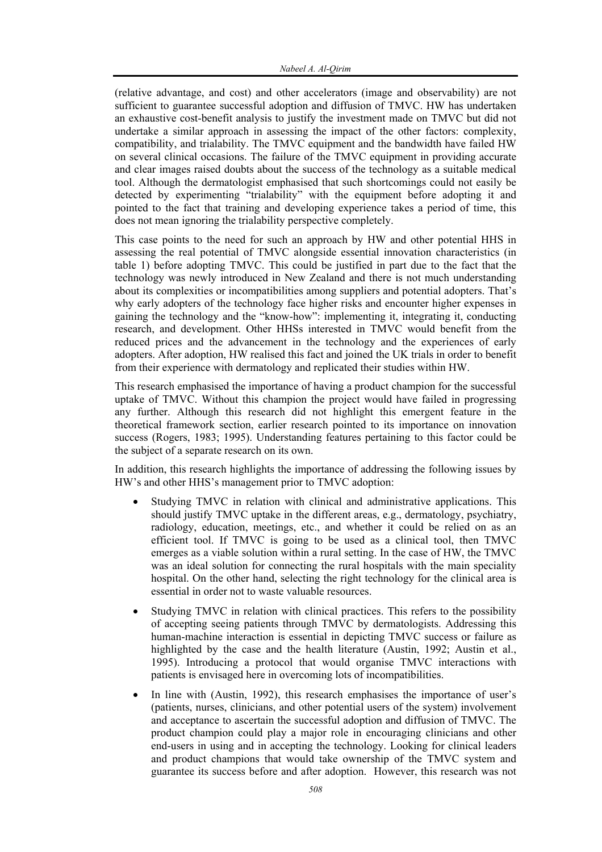(relative advantage, and cost) and other accelerators (image and observability) are not sufficient to guarantee successful adoption and diffusion of TMVC. HW has undertaken an exhaustive cost-benefit analysis to justify the investment made on TMVC but did not undertake a similar approach in assessing the impact of the other factors: complexity, compatibility, and trialability. The TMVC equipment and the bandwidth have failed HW on several clinical occasions. The failure of the TMVC equipment in providing accurate and clear images raised doubts about the success of the technology as a suitable medical tool. Although the dermatologist emphasised that such shortcomings could not easily be detected by experimenting "trialability" with the equipment before adopting it and pointed to the fact that training and developing experience takes a period of time, this does not mean ignoring the trialability perspective completely.

This case points to the need for such an approach by HW and other potential HHS in assessing the real potential of TMVC alongside essential innovation characteristics (in table 1) before adopting TMVC. This could be justified in part due to the fact that the technology was newly introduced in New Zealand and there is not much understanding about its complexities or incompatibilities among suppliers and potential adopters. That's why early adopters of the technology face higher risks and encounter higher expenses in gaining the technology and the "know-how": implementing it, integrating it, conducting research, and development. Other HHSs interested in TMVC would benefit from the reduced prices and the advancement in the technology and the experiences of early adopters. After adoption, HW realised this fact and joined the UK trials in order to benefit from their experience with dermatology and replicated their studies within HW.

This research emphasised the importance of having a product champion for the successful uptake of TMVC. Without this champion the project would have failed in progressing any further. Although this research did not highlight this emergent feature in the theoretical framework section, earlier research pointed to its importance on innovation success (Rogers, 1983; 1995). Understanding features pertaining to this factor could be the subject of a separate research on its own.

In addition, this research highlights the importance of addressing the following issues by HW's and other HHS's management prior to TMVC adoption:

- Studying TMVC in relation with clinical and administrative applications. This should justify TMVC uptake in the different areas, e.g., dermatology, psychiatry, radiology, education, meetings, etc., and whether it could be relied on as an efficient tool. If TMVC is going to be used as a clinical tool, then TMVC emerges as a viable solution within a rural setting. In the case of HW, the TMVC was an ideal solution for connecting the rural hospitals with the main speciality hospital. On the other hand, selecting the right technology for the clinical area is essential in order not to waste valuable resources.
- Studying TMVC in relation with clinical practices. This refers to the possibility of accepting seeing patients through TMVC by dermatologists. Addressing this human-machine interaction is essential in depicting TMVC success or failure as highlighted by the case and the health literature (Austin, 1992; Austin et al., 1995). Introducing a protocol that would organise TMVC interactions with patients is envisaged here in overcoming lots of incompatibilities.
- In line with (Austin, 1992), this research emphasises the importance of user's (patients, nurses, clinicians, and other potential users of the system) involvement and acceptance to ascertain the successful adoption and diffusion of TMVC. The product champion could play a major role in encouraging clinicians and other end-users in using and in accepting the technology. Looking for clinical leaders and product champions that would take ownership of the TMVC system and guarantee its success before and after adoption. However, this research was not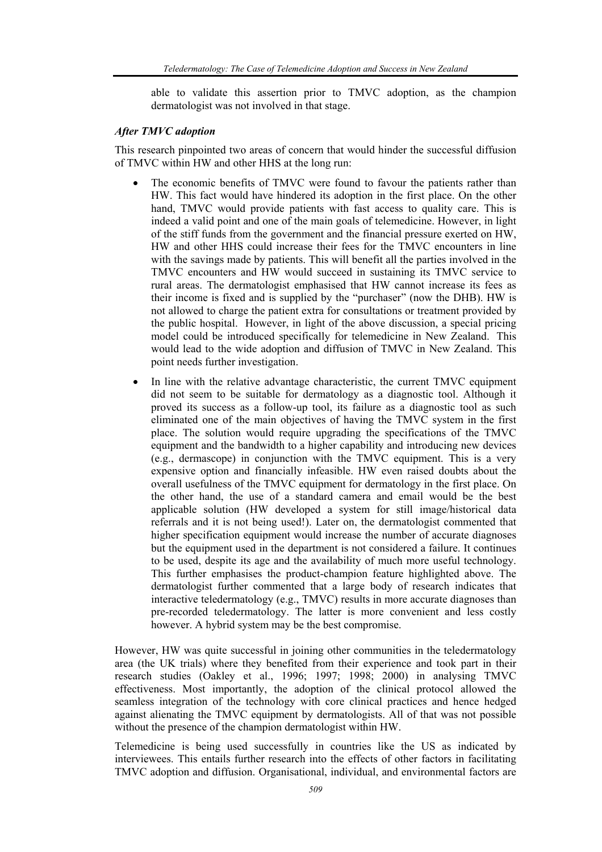able to validate this assertion prior to TMVC adoption, as the champion dermatologist was not involved in that stage.

#### *After TMVC adoption*

This research pinpointed two areas of concern that would hinder the successful diffusion of TMVC within HW and other HHS at the long run:

- The economic benefits of TMVC were found to favour the patients rather than HW. This fact would have hindered its adoption in the first place. On the other hand, TMVC would provide patients with fast access to quality care. This is indeed a valid point and one of the main goals of telemedicine. However, in light of the stiff funds from the government and the financial pressure exerted on HW, HW and other HHS could increase their fees for the TMVC encounters in line with the savings made by patients. This will benefit all the parties involved in the TMVC encounters and HW would succeed in sustaining its TMVC service to rural areas. The dermatologist emphasised that HW cannot increase its fees as their income is fixed and is supplied by the "purchaser" (now the DHB). HW is not allowed to charge the patient extra for consultations or treatment provided by the public hospital. However, in light of the above discussion, a special pricing model could be introduced specifically for telemedicine in New Zealand. This would lead to the wide adoption and diffusion of TMVC in New Zealand. This point needs further investigation.
- In line with the relative advantage characteristic, the current TMVC equipment did not seem to be suitable for dermatology as a diagnostic tool. Although it proved its success as a follow-up tool, its failure as a diagnostic tool as such eliminated one of the main objectives of having the TMVC system in the first place. The solution would require upgrading the specifications of the TMVC equipment and the bandwidth to a higher capability and introducing new devices (e.g., dermascope) in conjunction with the TMVC equipment. This is a very expensive option and financially infeasible. HW even raised doubts about the overall usefulness of the TMVC equipment for dermatology in the first place. On the other hand, the use of a standard camera and email would be the best applicable solution (HW developed a system for still image/historical data referrals and it is not being used!). Later on, the dermatologist commented that higher specification equipment would increase the number of accurate diagnoses but the equipment used in the department is not considered a failure. It continues to be used, despite its age and the availability of much more useful technology. This further emphasises the product-champion feature highlighted above. The dermatologist further commented that a large body of research indicates that interactive teledermatology (e.g., TMVC) results in more accurate diagnoses than pre-recorded teledermatology. The latter is more convenient and less costly however. A hybrid system may be the best compromise.

However, HW was quite successful in joining other communities in the teledermatology area (the UK trials) where they benefited from their experience and took part in their research studies (Oakley et al., 1996; 1997; 1998; 2000) in analysing TMVC effectiveness. Most importantly, the adoption of the clinical protocol allowed the seamless integration of the technology with core clinical practices and hence hedged against alienating the TMVC equipment by dermatologists. All of that was not possible without the presence of the champion dermatologist within HW.

Telemedicine is being used successfully in countries like the US as indicated by interviewees. This entails further research into the effects of other factors in facilitating TMVC adoption and diffusion. Organisational, individual, and environmental factors are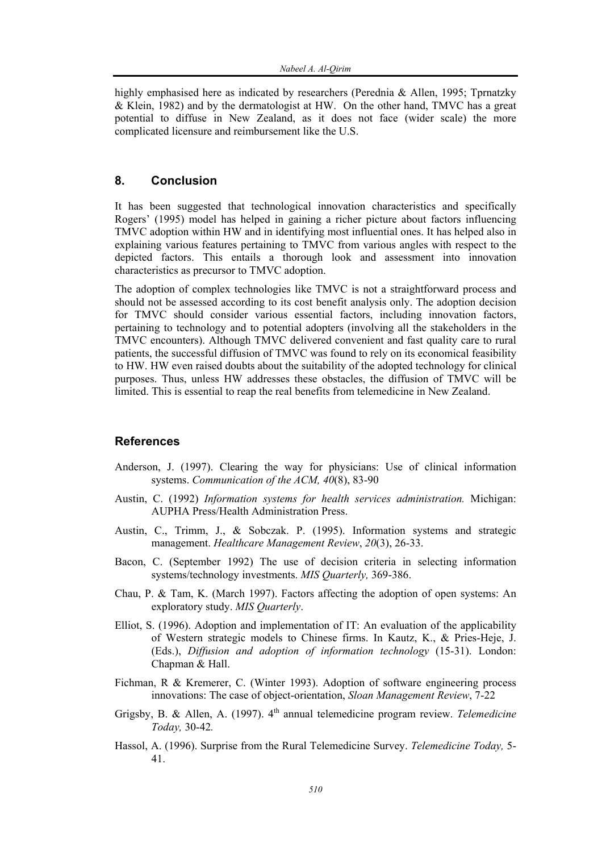highly emphasised here as indicated by researchers (Perednia & Allen, 1995; Tprnatzky & Klein, 1982) and by the dermatologist at HW. On the other hand, TMVC has a great potential to diffuse in New Zealand, as it does not face (wider scale) the more complicated licensure and reimbursement like the U.S.

## **8. Conclusion**

It has been suggested that technological innovation characteristics and specifically Rogers' (1995) model has helped in gaining a richer picture about factors influencing TMVC adoption within HW and in identifying most influential ones. It has helped also in explaining various features pertaining to TMVC from various angles with respect to the depicted factors. This entails a thorough look and assessment into innovation characteristics as precursor to TMVC adoption.

The adoption of complex technologies like TMVC is not a straightforward process and should not be assessed according to its cost benefit analysis only. The adoption decision for TMVC should consider various essential factors, including innovation factors, pertaining to technology and to potential adopters (involving all the stakeholders in the TMVC encounters). Although TMVC delivered convenient and fast quality care to rural patients, the successful diffusion of TMVC was found to rely on its economical feasibility to HW. HW even raised doubts about the suitability of the adopted technology for clinical purposes. Thus, unless HW addresses these obstacles, the diffusion of TMVC will be limited. This is essential to reap the real benefits from telemedicine in New Zealand.

#### **References**

- Anderson, J. (1997). Clearing the way for physicians: Use of clinical information systems. *Communication of the ACM, 40*(8), 83-90
- Austin, C. (1992) *Information systems for health services administration.* Michigan: AUPHA Press/Health Administration Press.
- Austin, C., Trimm, J., & Sobczak. P. (1995). Information systems and strategic management. *Healthcare Management Review*, *20*(3), 26-33.
- Bacon, C. (September 1992) The use of decision criteria in selecting information systems/technology investments. *MIS Quarterly,* 369-386.
- Chau, P. & Tam, K. (March 1997). Factors affecting the adoption of open systems: An exploratory study. *MIS Quarterly*.
- Elliot, S. (1996). Adoption and implementation of IT: An evaluation of the applicability of Western strategic models to Chinese firms. In Kautz, K., & Pries-Heje, J. (Eds.), *Diffusion and adoption of information technology* (15-31). London: Chapman & Hall.
- Fichman, R & Kremerer, C. (Winter 1993). Adoption of software engineering process innovations: The case of object-orientation, *Sloan Management Review*, 7-22
- Grigsby, B. & Allen, A. (1997). 4<sup>th</sup> annual telemedicine program review. *Telemedicine Today,* 30-42*.*
- Hassol, A. (1996). Surprise from the Rural Telemedicine Survey. *Telemedicine Today,* 5- 41.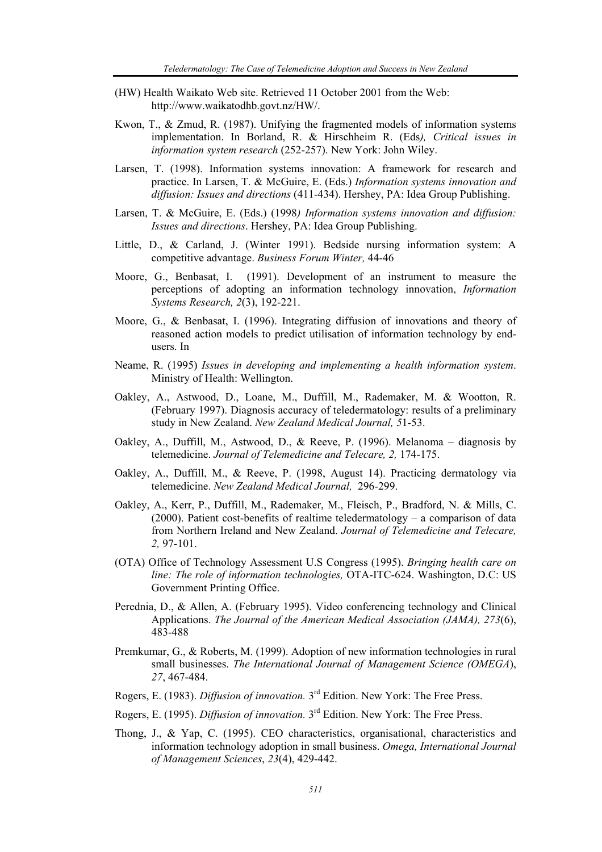- (HW) Health Waikato Web site. Retrieved 11 October 2001 from the Web: http://www.waikatodhb.govt.nz/HW/.
- Kwon, T., & Zmud, R. (1987). Unifying the fragmented models of information systems implementation. In Borland, R. & Hirschheim R. (Eds*), Critical issues in information system research* (252-257). New York: John Wiley.
- Larsen, T. (1998). Information systems innovation: A framework for research and practice. In Larsen, T. & McGuire, E. (Eds.) *Information systems innovation and diffusion: Issues and directions* (411-434). Hershey, PA: Idea Group Publishing.
- Larsen, T. & McGuire, E. (Eds.) (1998*) Information systems innovation and diffusion: Issues and directions*. Hershey, PA: Idea Group Publishing.
- Little, D., & Carland, J. (Winter 1991). Bedside nursing information system: A competitive advantage. *Business Forum Winter,* 44-46
- Moore, G., Benbasat, I. (1991). Development of an instrument to measure the perceptions of adopting an information technology innovation, *Information Systems Research, 2*(3), 192-221.
- Moore, G., & Benbasat, I. (1996). Integrating diffusion of innovations and theory of reasoned action models to predict utilisation of information technology by endusers. In
- Neame, R. (1995) *Issues in developing and implementing a health information system*. Ministry of Health: Wellington.
- Oakley, A., Astwood, D., Loane, M., Duffill, M., Rademaker, M. & Wootton, R. (February 1997). Diagnosis accuracy of teledermatology: results of a preliminary study in New Zealand. *New Zealand Medical Journal, 5*1-53.
- Oakley, A., Duffill, M., Astwood, D., & Reeve, P. (1996). Melanoma diagnosis by telemedicine. *Journal of Telemedicine and Telecare, 2,* 174-175.
- Oakley, A., Duffill, M., & Reeve, P. (1998, August 14). Practicing dermatology via telemedicine. *New Zealand Medical Journal,* 296-299.
- Oakley, A., Kerr, P., Duffill, M., Rademaker, M., Fleisch, P., Bradford, N. & Mills, C. (2000). Patient cost-benefits of realtime teledermatology – a comparison of data from Northern Ireland and New Zealand. *Journal of Telemedicine and Telecare, 2,* 97-101.
- (OTA) Office of Technology Assessment U.S Congress (1995). *Bringing health care on line: The role of information technologies,* OTA-ITC-624. Washington, D.C: US Government Printing Office.
- Perednia, D., & Allen, A. (February 1995). Video conferencing technology and Clinical Applications. *The Journal of the American Medical Association (JAMA), 273*(6), 483-488
- Premkumar, G., & Roberts, M. (1999). Adoption of new information technologies in rural small businesses. *The International Journal of Management Science (OMEGA*), *27*, 467-484.
- Rogers, E. (1983). *Diffusion of innovation.* 3rd Edition. New York: The Free Press.
- Rogers, E. (1995). *Diffusion of innovation.* 3rd Edition. New York: The Free Press.
- Thong, J., & Yap, C. (1995). CEO characteristics, organisational, characteristics and information technology adoption in small business. *Omega, International Journal of Management Sciences*, *23*(4), 429-442.